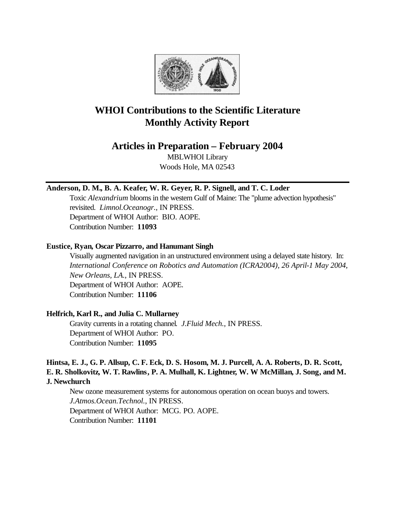

# **WHOI Contributions to the Scientific Literature Monthly Activity Report**

## **Articles in Preparation – February 2004**

MBLWHOI Library Woods Hole, MA 02543

### **Anderson, D. M., B. A. Keafer, W. R. Geyer, R. P. Signell, and T. C. Loder**

Toxic *Alexandrium* blooms in the western Gulf of Maine: The "plume advection hypothesis" revisited. *Limnol.Oceanogr.*, IN PRESS. Department of WHOI Author: BIO. AOPE. Contribution Number: **11093**

### **Eustice, Ryan, Oscar Pizzarro, and Hanumant Singh**

Visually augmented navigation in an unstructured environment using a delayed state history. In: *International Conference on Robotics and Automation (ICRA2004), 26 April-1 May 2004, New Orleans, LA.*, IN PRESS. Department of WHOI Author: AOPE. Contribution Number: **11106**

### **Helfrich, Karl R., and Julia C. Mullarney**

Gravity currents in a rotating channel. *J.Fluid Mech.*, IN PRESS. Department of WHOI Author: PO. Contribution Number: **11095**

### **Hintsa, E. J., G. P. Allsup, C. F. Eck, D. S. Hosom, M. J. Purcell, A. A. Roberts, D. R. Scott, E. R. Sholkovitz, W. T. Rawlins, P. A. Mulhall, K. Lightner, W. W McMillan, J. Song, and M. J. Newchurch**

New ozone measurement systems for autonomous operation on ocean buoys and towers. *J.Atmos.Ocean.Technol.*, IN PRESS. Department of WHOI Author: MCG. PO. AOPE. Contribution Number: **11101**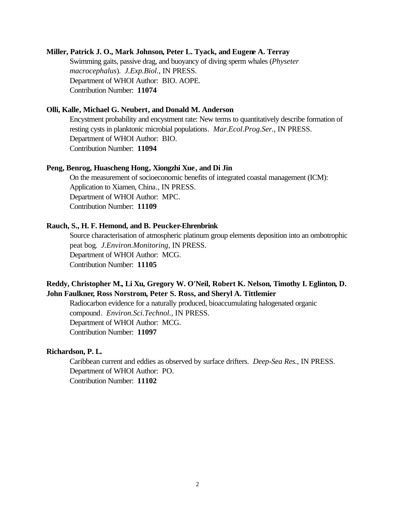#### **Miller, Patrick J. O., Mark Johnson, Peter L. Tyack, and Eugene A. Terray**

Swimming gaits, passive drag, and buoyancy of diving sperm whales (*Physeter macrocephalus*). *J.Exp.Biol.*, IN PRESS. Department of WHOI Author: BIO. AOPE. Contribution Number: **11074**

### **Olli, Kalle, Michael G. Neubert, and Donald M. Anderson**

Encystment probability and encystment rate: New terms to quantitatively describe formation of resting cysts in planktonic microbial populations. *Mar.Ecol.Prog.Ser.*, IN PRESS. Department of WHOI Author: BIO. Contribution Number: **11094**

#### **Peng, Benrog, Huascheng Hong, Xiongzhi Xue, and Di Jin**

On the measurement of socioeconomic benefits of integrated coastal management (ICM): Application to Xiamen, China., IN PRESS. Department of WHOI Author: MPC. Contribution Number: **11109**

#### **Rauch, S., H. F. Hemond, and B. Peucker-Ehrenbrink**

Source characterisation of atmospheric platinum group elements deposition into an ombotrophic peat bog. *J.Environ.Monitoring*, IN PRESS. Department of WHOI Author: MCG. Contribution Number: **11105**

### **Reddy, Christopher M., Li Xu, Gregory W. O'Neil, Robert K. Nelson, Timothy I. Eglinton, D. John Faulkner, Ross Norstrom, Peter S. Ross, and Sheryl A. Tittlemier**

Radiocarbon evidence for a naturally produced, bioaccumulating halogenated organic compound. *Environ.Sci.Technol.*, IN PRESS. Department of WHOI Author: MCG. Contribution Number: **11097**

### **Richardson, P. L.**

Caribbean current and eddies as observed by surface drifters. *Deep-Sea Res.*, IN PRESS. Department of WHOI Author: PO. Contribution Number: **11102**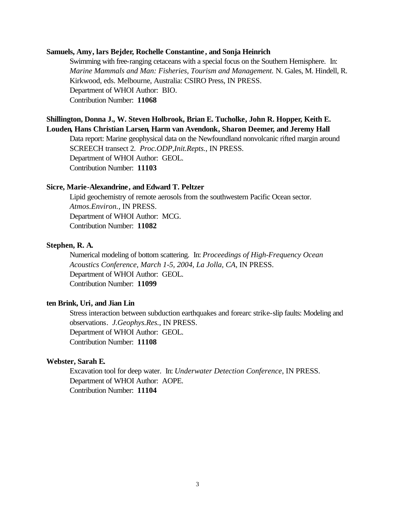#### **Samuels, Amy, lars Bejder, Rochelle Constantine, and Sonja Heinrich**

Swimming with free-ranging cetaceans with a special focus on the Southern Hemisphere. In: *Marine Mammals and Man: Fisheries, Tourism and Management.* N. Gales, M. Hindell, R. Kirkwood, eds. Melbourne, Australia: CSIRO Press, IN PRESS. Department of WHOI Author: BIO. Contribution Number: **11068**

### **Shillington, Donna J., W. Steven Holbrook, Brian E. Tucholke, John R. Hopper, Keith E. Louden, Hans Christian Larsen, Harm van Avendonk, Sharon Deemer, and Jeremy Hall**

Data report: Marine geophysical data on the Newfoundland nonvolcanic rifted margin around SCREECH transect 2. *Proc.ODP,Init.Repts.*, IN PRESS. Department of WHOI Author: GEOL. Contribution Number: **11103**

#### **Sicre, Marie-Alexandrine, and Edward T. Peltzer**

Lipid geochemistry of remote aerosols from the southwestern Pacific Ocean sector. *Atmos.Environ.*, IN PRESS. Department of WHOI Author: MCG. Contribution Number: **11082**

#### **Stephen, R. A.**

Numerical modeling of bottom scattering. In: *Proceedings of High-Frequency Ocean Acoustics Conference, March 1-5, 2004, La Jolla, CA*, IN PRESS. Department of WHOI Author: GEOL. Contribution Number: **11099**

### **ten Brink, Uri, and Jian Lin**

Stress interaction between subduction earthquakes and forearc strike-slip faults: Modeling and observations. *J.Geophys.Res.*, IN PRESS. Department of WHOI Author: GEOL. Contribution Number: **11108**

#### **Webster, Sarah E.**

Excavation tool for deep water. In: *Underwater Detection Conference*, IN PRESS. Department of WHOI Author: AOPE. Contribution Number: **11104**